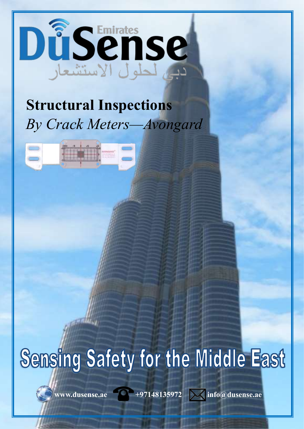

## **Structural Inspections** By Crack Meters-Avongard



# Sensing Safety for the Middle East

www.dusense.ae  $+97148135972$   $\sqrt{\phantom{0}}$  info@dusense.ae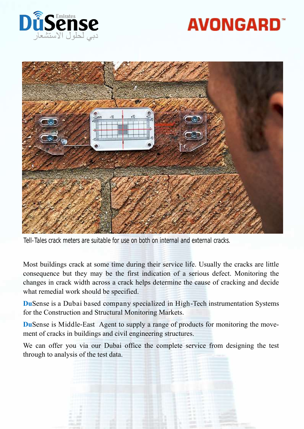

# **AVONGARD**



Tell-Tales crack meters are suitable for use on both on internal and external cracks.

Most buildings crack at some time during their service life. Usually the cracks are little consequence but they may be the first indication of a serious defect. Monitoring the changes in crack width across a crack helps determine the cause of cracking and decide what remedial work should be specified.

**Du**Sense is a Dubai based company specialized in High-Tech instrumentation Systems for the Construction and Structural Monitoring Markets.

**Du**Sense is Middle-East Agent to supply a range of products for monitoring the movement of cracks in buildings and civil engineering structures.

We can offer you via our Dubai office the complete service from designing the test through to analysis of the test data.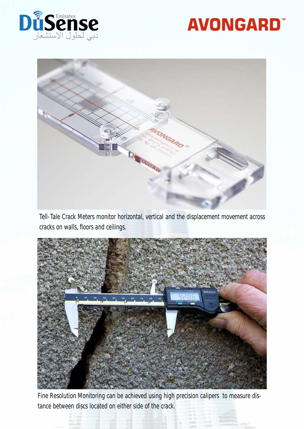

## **AVONGARD**



Tell-Tale Crack Meters monitor horizontal, vertical and the displacement movement across cracks on walls, floors and ceilings.



Fine Resolution Monitoring can be achieved using high precision calipers to measure distance between discs located on either side of the crack.